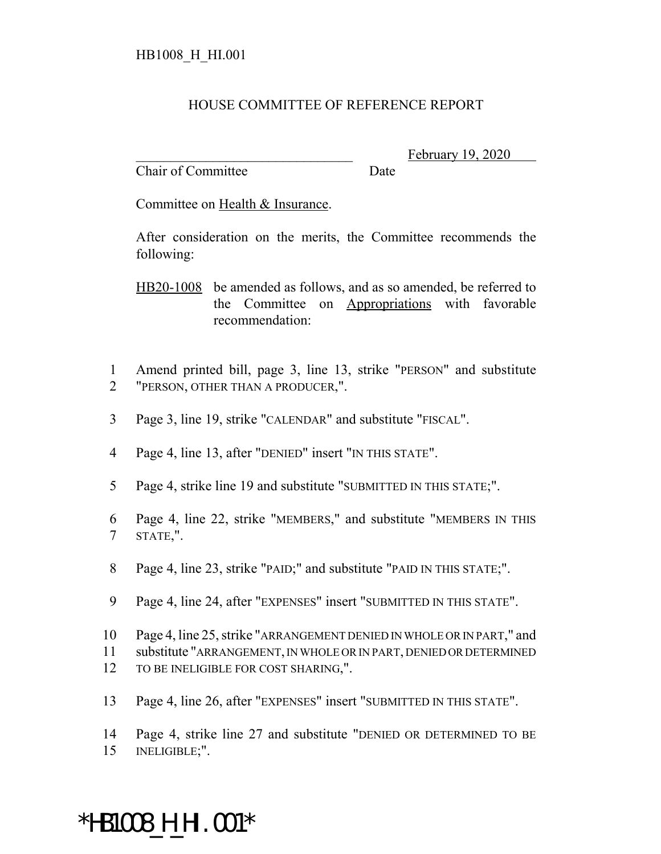#### HOUSE COMMITTEE OF REFERENCE REPORT

Chair of Committee Date

February 19, 2020

Committee on Health & Insurance.

After consideration on the merits, the Committee recommends the following:

HB20-1008 be amended as follows, and as so amended, be referred to the Committee on Appropriations with favorable recommendation:

- 1 Amend printed bill, page 3, line 13, strike "PERSON" and substitute 2 "PERSON, OTHER THAN A PRODUCER,".
- 3 Page 3, line 19, strike "CALENDAR" and substitute "FISCAL".
- 4 Page 4, line 13, after "DENIED" insert "IN THIS STATE".
- 5 Page 4, strike line 19 and substitute "SUBMITTED IN THIS STATE;".
- 6 Page 4, line 22, strike "MEMBERS," and substitute "MEMBERS IN THIS 7 STATE,".
- 8 Page 4, line 23, strike "PAID;" and substitute "PAID IN THIS STATE;".
- 9 Page 4, line 24, after "EXPENSES" insert "SUBMITTED IN THIS STATE".
- 10 Page 4, line 25, strike "ARRANGEMENT DENIED IN WHOLE OR IN PART," and 11 substitute "ARRANGEMENT, IN WHOLE OR IN PART, DENIED OR DETERMINED 12 TO BE INELIGIBLE FOR COST SHARING,".
- 13 Page 4, line 26, after "EXPENSES" insert "SUBMITTED IN THIS STATE".

14 Page 4, strike line 27 and substitute "DENIED OR DETERMINED TO BE 15 INELIGIBLE;".

# \*HB1008\_H\_HI.001\*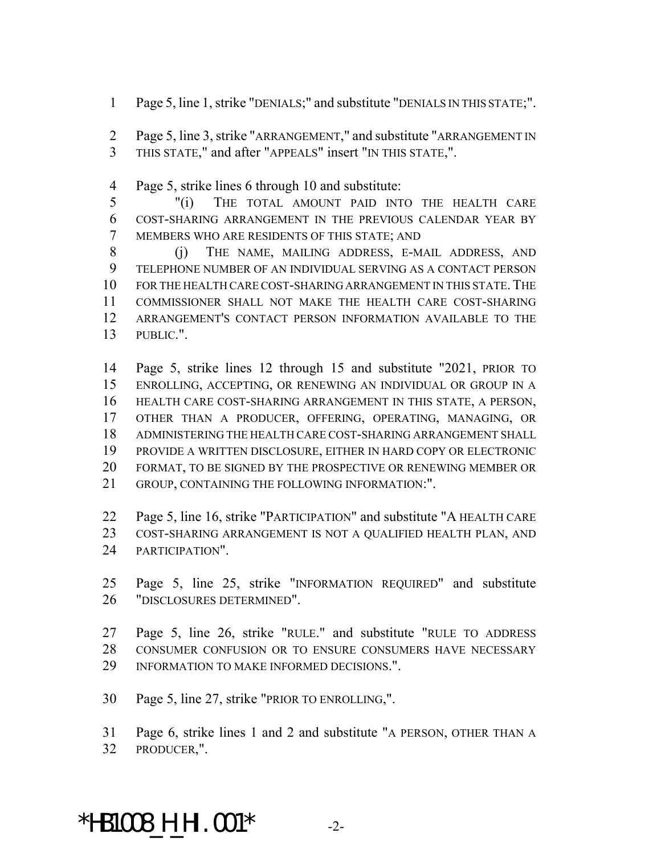- Page 5, line 1, strike "DENIALS;" and substitute "DENIALS IN THIS STATE;".
- Page 5, line 3, strike "ARRANGEMENT," and substitute "ARRANGEMENT IN THIS STATE," and after "APPEALS" insert "IN THIS STATE,".
- Page 5, strike lines 6 through 10 and substitute:
- "(i) THE TOTAL AMOUNT PAID INTO THE HEALTH CARE COST-SHARING ARRANGEMENT IN THE PREVIOUS CALENDAR YEAR BY MEMBERS WHO ARE RESIDENTS OF THIS STATE; AND
- (j) THE NAME, MAILING ADDRESS, E-MAIL ADDRESS, AND TELEPHONE NUMBER OF AN INDIVIDUAL SERVING AS A CONTACT PERSON FOR THE HEALTH CARE COST-SHARING ARRANGEMENT IN THIS STATE.THE COMMISSIONER SHALL NOT MAKE THE HEALTH CARE COST-SHARING ARRANGEMENT'S CONTACT PERSON INFORMATION AVAILABLE TO THE PUBLIC.".
- Page 5, strike lines 12 through 15 and substitute "2021, PRIOR TO ENROLLING, ACCEPTING, OR RENEWING AN INDIVIDUAL OR GROUP IN A HEALTH CARE COST-SHARING ARRANGEMENT IN THIS STATE, A PERSON, OTHER THAN A PRODUCER, OFFERING, OPERATING, MANAGING, OR ADMINISTERING THE HEALTH CARE COST-SHARING ARRANGEMENT SHALL PROVIDE A WRITTEN DISCLOSURE, EITHER IN HARD COPY OR ELECTRONIC FORMAT, TO BE SIGNED BY THE PROSPECTIVE OR RENEWING MEMBER OR GROUP, CONTAINING THE FOLLOWING INFORMATION:".
- Page 5, line 16, strike "PARTICIPATION" and substitute "A HEALTH CARE COST-SHARING ARRANGEMENT IS NOT A QUALIFIED HEALTH PLAN, AND PARTICIPATION".
- Page 5, line 25, strike "INFORMATION REQUIRED" and substitute "DISCLOSURES DETERMINED".
- Page 5, line 26, strike "RULE." and substitute "RULE TO ADDRESS CONSUMER CONFUSION OR TO ENSURE CONSUMERS HAVE NECESSARY INFORMATION TO MAKE INFORMED DECISIONS.".
- Page 5, line 27, strike "PRIOR TO ENROLLING,".
- Page 6, strike lines 1 and 2 and substitute "A PERSON, OTHER THAN A PRODUCER,".

## \*HB1008\_H\_HI.001\* -2-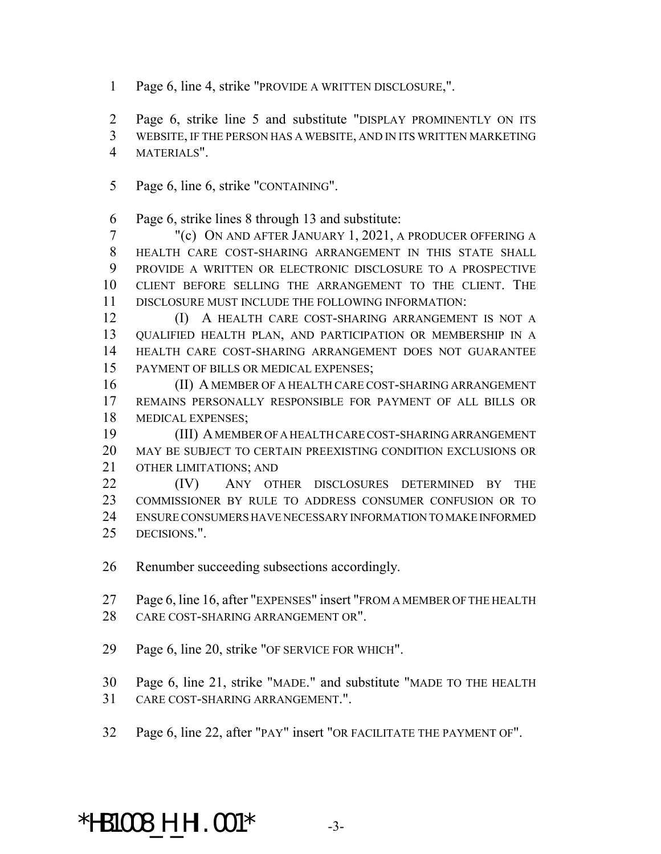Page 6, line 4, strike "PROVIDE A WRITTEN DISCLOSURE,".

Page 6, strike line 5 and substitute "DISPLAY PROMINENTLY ON ITS

WEBSITE, IF THE PERSON HAS A WEBSITE, AND IN ITS WRITTEN MARKETING

- MATERIALS".
- Page 6, line 6, strike "CONTAINING".

Page 6, strike lines 8 through 13 and substitute:

 "(c) ON AND AFTER JANUARY 1, 2021, A PRODUCER OFFERING A HEALTH CARE COST-SHARING ARRANGEMENT IN THIS STATE SHALL PROVIDE A WRITTEN OR ELECTRONIC DISCLOSURE TO A PROSPECTIVE CLIENT BEFORE SELLING THE ARRANGEMENT TO THE CLIENT. THE DISCLOSURE MUST INCLUDE THE FOLLOWING INFORMATION:

**(I)** A HEALTH CARE COST-SHARING ARRANGEMENT IS NOT A QUALIFIED HEALTH PLAN, AND PARTICIPATION OR MEMBERSHIP IN A HEALTH CARE COST-SHARING ARRANGEMENT DOES NOT GUARANTEE PAYMENT OF BILLS OR MEDICAL EXPENSES;

 (II) A MEMBER OF A HEALTH CARE COST-SHARING ARRANGEMENT REMAINS PERSONALLY RESPONSIBLE FOR PAYMENT OF ALL BILLS OR MEDICAL EXPENSES;

 (III) A MEMBER OF A HEALTH CARE COST-SHARING ARRANGEMENT MAY BE SUBJECT TO CERTAIN PREEXISTING CONDITION EXCLUSIONS OR OTHER LIMITATIONS; AND

 (IV) ANY OTHER DISCLOSURES DETERMINED BY THE COMMISSIONER BY RULE TO ADDRESS CONSUMER CONFUSION OR TO ENSURE CONSUMERS HAVE NECESSARY INFORMATION TO MAKE INFORMED DECISIONS.".

Renumber succeeding subsections accordingly.

 Page 6, line 16, after "EXPENSES" insert "FROM A MEMBER OF THE HEALTH CARE COST-SHARING ARRANGEMENT OR".

Page 6, line 20, strike "OF SERVICE FOR WHICH".

Page 6, line 21, strike "MADE." and substitute "MADE TO THE HEALTH

- CARE COST-SHARING ARRANGEMENT.".
- Page 6, line 22, after "PAY" insert "OR FACILITATE THE PAYMENT OF".

## **\*HB1008\_H\_HI.001\***  $-3$ -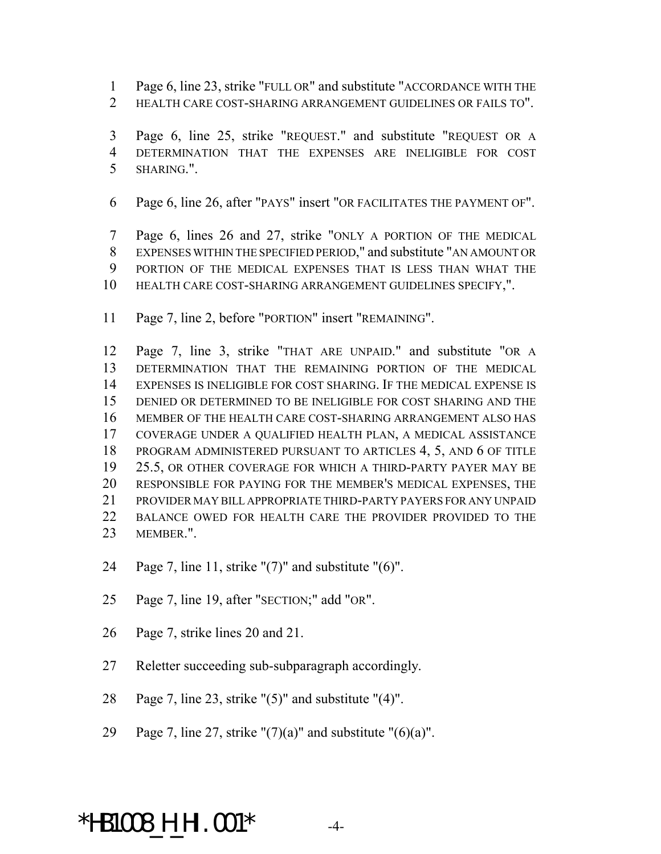Page 6, line 23, strike "FULL OR" and substitute "ACCORDANCE WITH THE

HEALTH CARE COST-SHARING ARRANGEMENT GUIDELINES OR FAILS TO".

 Page 6, line 25, strike "REQUEST." and substitute "REQUEST OR A DETERMINATION THAT THE EXPENSES ARE INELIGIBLE FOR COST SHARING.".

Page 6, line 26, after "PAYS" insert "OR FACILITATES THE PAYMENT OF".

 Page 6, lines 26 and 27, strike "ONLY A PORTION OF THE MEDICAL EXPENSES WITHIN THE SPECIFIED PERIOD," and substitute "AN AMOUNT OR PORTION OF THE MEDICAL EXPENSES THAT IS LESS THAN WHAT THE HEALTH CARE COST-SHARING ARRANGEMENT GUIDELINES SPECIFY,".

Page 7, line 2, before "PORTION" insert "REMAINING".

 Page 7, line 3, strike "THAT ARE UNPAID." and substitute "OR A DETERMINATION THAT THE REMAINING PORTION OF THE MEDICAL EXPENSES IS INELIGIBLE FOR COST SHARING. IF THE MEDICAL EXPENSE IS DENIED OR DETERMINED TO BE INELIGIBLE FOR COST SHARING AND THE MEMBER OF THE HEALTH CARE COST-SHARING ARRANGEMENT ALSO HAS COVERAGE UNDER A QUALIFIED HEALTH PLAN, A MEDICAL ASSISTANCE PROGRAM ADMINISTERED PURSUANT TO ARTICLES 4, 5, AND 6 OF TITLE 25.5, OR OTHER COVERAGE FOR WHICH A THIRD-PARTY PAYER MAY BE RESPONSIBLE FOR PAYING FOR THE MEMBER'S MEDICAL EXPENSES, THE PROVIDER MAY BILL APPROPRIATE THIRD-PARTY PAYERS FOR ANY UNPAID BALANCE OWED FOR HEALTH CARE THE PROVIDER PROVIDED TO THE MEMBER.".

- Page 7, line 11, strike "(7)" and substitute "(6)".
- Page 7, line 19, after "SECTION;" add "OR".
- Page 7, strike lines 20 and 21.
- Reletter succeeding sub-subparagraph accordingly.
- Page 7, line 23, strike "(5)" and substitute "(4)".
- 29 Page 7, line 27, strike " $(7)(a)$ " and substitute " $(6)(a)$ ".

### \*HB1008\_H\_HI.001\* -4-